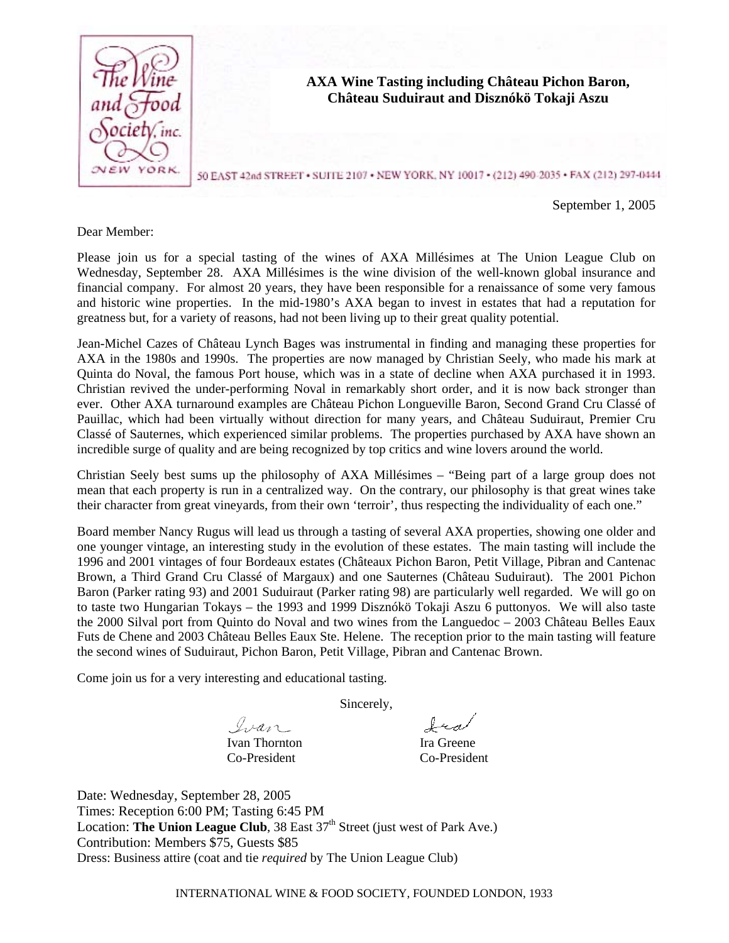

## Dear Member:

Please join us for a special tasting of the wines of AXA Millésimes at The Union League Club on Wednesday, September 28. AXA Millésimes is the wine division of the well-known global insurance and financial company. For almost 20 years, they have been responsible for a renaissance of some very famous and historic wine properties. In the mid-1980's AXA began to invest in estates that had a reputation for greatness but, for a variety of reasons, had not been living up to their great quality potential.

Jean-Michel Cazes of Château Lynch Bages was instrumental in finding and managing these properties for AXA in the 1980s and 1990s. The properties are now managed by Christian Seely, who made his mark at Quinta do Noval, the famous Port house, which was in a state of decline when AXA purchased it in 1993. Christian revived the under-performing Noval in remarkably short order, and it is now back stronger than ever. Other AXA turnaround examples are Château Pichon Longueville Baron, Second Grand Cru Classé of Pauillac, which had been virtually without direction for many years, and Château Suduiraut, Premier Cru Classé of Sauternes, which experienced similar problems. The properties purchased by AXA have shown an incredible surge of quality and are being recognized by top critics and wine lovers around the world.

Christian Seely best sums up the philosophy of AXA Millésimes – "Being part of a large group does not mean that each property is run in a centralized way. On the contrary, our philosophy is that great wines take their character from great vineyards, from their own 'terroir', thus respecting the individuality of each one."

Board member Nancy Rugus will lead us through a tasting of several AXA properties, showing one older and one younger vintage, an interesting study in the evolution of these estates. The main tasting will include the 1996 and 2001 vintages of four Bordeaux estates (Châteaux Pichon Baron, Petit Village, Pibran and Cantenac Brown, a Third Grand Cru Classé of Margaux) and one Sauternes (Château Suduiraut). The 2001 Pichon Baron (Parker rating 93) and 2001 Suduiraut (Parker rating 98) are particularly well regarded. We will go on to taste two Hungarian Tokays – the 1993 and 1999 Disznókö Tokaji Aszu 6 puttonyos. We will also taste the 2000 Silval port from Quinto do Noval and two wines from the Languedoc – 2003 Château Belles Eaux Futs de Chene and 2003 Château Belles Eaux Ste. Helene. The reception prior to the main tasting will feature the second wines of Suduiraut, Pichon Baron, Petit Village, Pibran and Cantenac Brown.

Come join us for a very interesting and educational tasting.

Sincerely,

Ivan Ivan Thornton Ira Greene

Co-President Co-President

Ira

Date: Wednesday, September 28, 2005 Times: Reception 6:00 PM; Tasting 6:45 PM Location: **The Union League Club**,  $38$  East  $37<sup>th</sup>$  Street (just west of Park Ave.) Contribution: Members \$75, Guests \$85 Dress: Business attire (coat and tie *required* by The Union League Club)